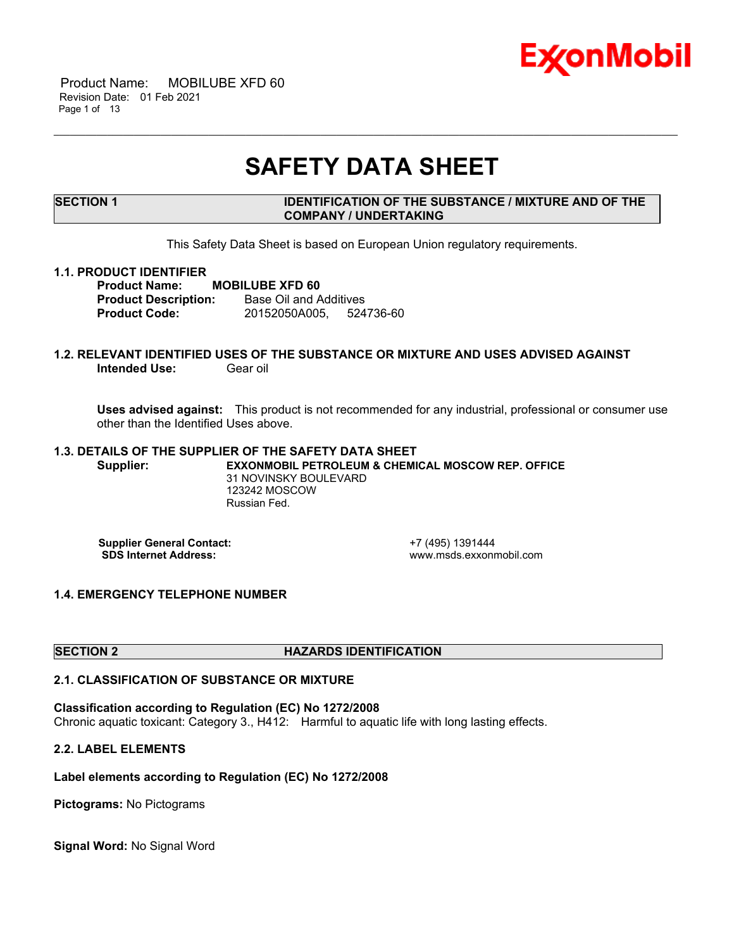

 Product Name: MOBILUBE XFD 60 Revision Date: 01 Feb 2021 Page 1 of 13

## **SAFETY DATA SHEET**

\_\_\_\_\_\_\_\_\_\_\_\_\_\_\_\_\_\_\_\_\_\_\_\_\_\_\_\_\_\_\_\_\_\_\_\_\_\_\_\_\_\_\_\_\_\_\_\_\_\_\_\_\_\_\_\_\_\_\_\_\_\_\_\_\_\_\_\_\_\_\_\_\_\_\_\_\_\_\_\_\_\_\_\_\_\_\_\_\_\_\_\_\_\_\_\_\_\_\_\_\_\_\_\_\_\_\_\_\_\_\_\_\_\_\_\_\_

#### **SECTION 1 IDENTIFICATION OF THE SUBSTANCE / MIXTURE AND OF THE COMPANY / UNDERTAKING**

This Safety Data Sheet is based on European Union regulatory requirements.

#### **1.1. PRODUCT IDENTIFIER**

**Product Name: MOBILUBE XFD 60 Product Description:** Base Oil and Additives **Product Code:** 20152050A005, 524736-60

#### **1.2. RELEVANT IDENTIFIED USES OF THE SUBSTANCE OR MIXTURE AND USES ADVISED AGAINST Intended Use:** Gear oil

**Uses advised against:** This product is not recommended for any industrial, professional or consumer use other than the Identified Uses above.

#### **1.3. DETAILS OF THE SUPPLIER OF THE SAFETY DATA SHEET Supplier: EXXONMOBIL PETROLEUM & CHEMICAL MOSCOW REP. OFFICE** 31 NOVINSKY BOULEVARD 123242 MOSCOW Russian Fed.

**Supplier General Contact:** +7 (495) 1391444<br> **SDS Internet Address:** + +7 (495) www.msds.exxonr

 **SDS Internet Address:** www.msds.exxonmobil.com

#### **1.4. EMERGENCY TELEPHONE NUMBER**

#### **SECTION 2 HAZARDS IDENTIFICATION**

#### **2.1. CLASSIFICATION OF SUBSTANCE OR MIXTURE**

**Classification according to Regulation (EC) No 1272/2008** Chronic aquatic toxicant: Category 3., H412: Harmful to aquatic life with long lasting effects.

#### **2.2. LABEL ELEMENTS**

#### **Label elements according to Regulation (EC) No 1272/2008**

**Pictograms:** No Pictograms

**Signal Word:** No Signal Word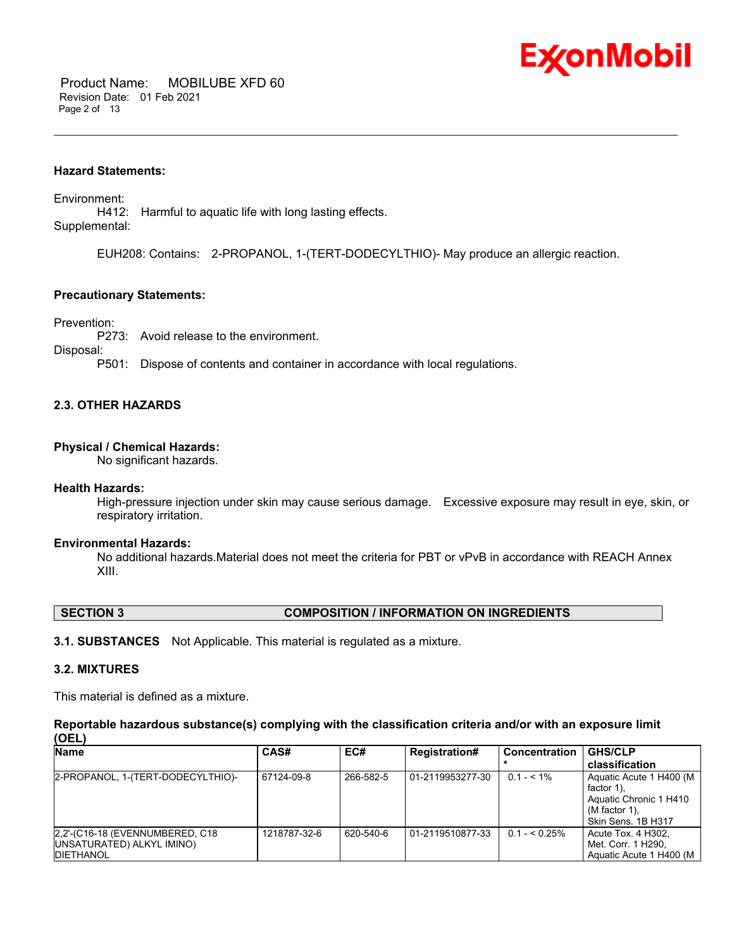

#### **Hazard Statements:**

Environment: H412: Harmful to aquatic life with long lasting effects. Supplemental:

EUH208: Contains: 2-PROPANOL, 1-(TERT-DODECYLTHIO)- May produce an allergic reaction.

\_\_\_\_\_\_\_\_\_\_\_\_\_\_\_\_\_\_\_\_\_\_\_\_\_\_\_\_\_\_\_\_\_\_\_\_\_\_\_\_\_\_\_\_\_\_\_\_\_\_\_\_\_\_\_\_\_\_\_\_\_\_\_\_\_\_\_\_\_\_\_\_\_\_\_\_\_\_\_\_\_\_\_\_\_\_\_\_\_\_\_\_\_\_\_\_\_\_\_\_\_\_\_\_\_\_\_\_\_\_\_\_\_\_\_\_\_

#### **Precautionary Statements:**

Prevention:

P273: Avoid release to the environment.

Disposal:

P501: Dispose of contents and container in accordance with local regulations.

#### **2.3. OTHER HAZARDS**

#### **Physical / Chemical Hazards:**

No significant hazards.

#### **Health Hazards:**

High-pressure injection under skin may cause serious damage. Excessive exposure may result in eye, skin, or respiratory irritation.

#### **Environmental Hazards:**

No additional hazards.Material does not meet the criteria for PBT or vPvB in accordance with REACH Annex XIII.

#### **SECTION 3 COMPOSITION / INFORMATION ON INGREDIENTS**

**3.1. SUBSTANCES** Not Applicable. This material is regulated as a mixture.

#### **3.2. MIXTURES**

This material is defined as a mixture.

**Reportable hazardous substance(s) complying with the classification criteria and/or with an exposure limit (OEL)**

| <b>Name</b>                                                                        | CAS#         | EC#       | <b>Registration#</b> | <b>Concentration</b> | <b>GHS/CLP</b>                                                                                             |
|------------------------------------------------------------------------------------|--------------|-----------|----------------------|----------------------|------------------------------------------------------------------------------------------------------------|
|                                                                                    |              |           |                      |                      | classification                                                                                             |
| 2-PROPANOL, 1-(TERT-DODECYLTHIO)-                                                  | 67124-09-8   | 266-582-5 | 01-2119953277-30     | $0.1 - 5.1\%$        | Aquatic Acute 1 H400 (M)<br>factor 1).<br>Aquatic Chronic 1 H410<br>$(M factor 1)$ .<br>Skin Sens, 1B H317 |
| 2.2'-(C16-18 (EVENNUMBERED, C18)<br>UNSATURATED) ALKYL IMINO)<br><b>IDIETHANOL</b> | 1218787-32-6 | 620-540-6 | 01-2119510877-33     | $0.1 - 5.25\%$       | Acute Tox. 4 H302.<br>Met. Corr. 1 H290.<br>Aquatic Acute 1 H400 (M)                                       |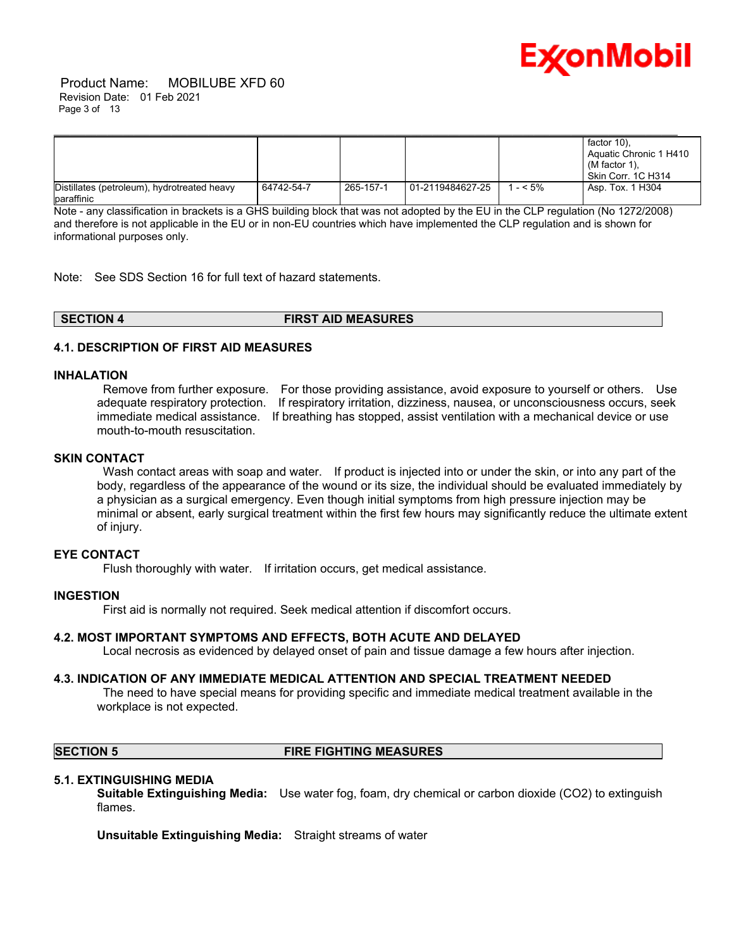

|                                                           |            |           |                    |          | factor 10).<br>Aquatic Chronic 1 H410<br>(M factor 1),<br>l Skin Corr. 1C H314 |
|-----------------------------------------------------------|------------|-----------|--------------------|----------|--------------------------------------------------------------------------------|
| Distillates (petroleum), hydrotreated heavy<br>paraffinic | 64742-54-7 | 265-157-1 | l 01-2119484627-25 | 1 - < 5% | Asp. Tox. 1 H304                                                               |

Note - any classification in brackets is a GHS building block that was not adopted by the EU in the CLP regulation (No 1272/2008) and therefore is not applicable in the EU or in non-EU countries which have implemented the CLP regulation and is shown for informational purposes only.

Note: See SDS Section 16 for full text of hazard statements.

| SECTION 4 | <b>FIRST AID MEASURES</b> |
|-----------|---------------------------|
|           |                           |

#### **4.1. DESCRIPTION OF FIRST AID MEASURES**

#### **INHALATION**

 Remove from further exposure. For those providing assistance, avoid exposure to yourself or others. Use adequate respiratory protection. If respiratory irritation, dizziness, nausea, or unconsciousness occurs, seek immediate medical assistance. If breathing has stopped, assist ventilation with a mechanical device or use mouth-to-mouth resuscitation.

#### **SKIN CONTACT**

Wash contact areas with soap and water. If product is injected into or under the skin, or into any part of the body, regardless of the appearance of the wound or its size, the individual should be evaluated immediately by a physician as a surgical emergency. Even though initial symptoms from high pressure injection may be minimal or absent, early surgical treatment within the first few hours may significantly reduce the ultimate extent of injury.

#### **EYE CONTACT**

Flush thoroughly with water. If irritation occurs, get medical assistance.

#### **INGESTION**

First aid is normally not required. Seek medical attention if discomfort occurs.

#### **4.2. MOST IMPORTANT SYMPTOMS AND EFFECTS, BOTH ACUTE AND DELAYED**

Local necrosis as evidenced by delayed onset of pain and tissue damage a few hours after injection.

#### **4.3. INDICATION OF ANY IMMEDIATE MEDICAL ATTENTION AND SPECIAL TREATMENT NEEDED**

 The need to have special means for providing specific and immediate medical treatment available in the workplace is not expected.

### **SECTION 5 FIRE FIGHTING MEASURES**

#### **5.1. EXTINGUISHING MEDIA**

**Suitable Extinguishing Media:** Use water fog, foam, dry chemical or carbon dioxide (CO2) to extinguish flames.

**Unsuitable Extinguishing Media:** Straight streams of water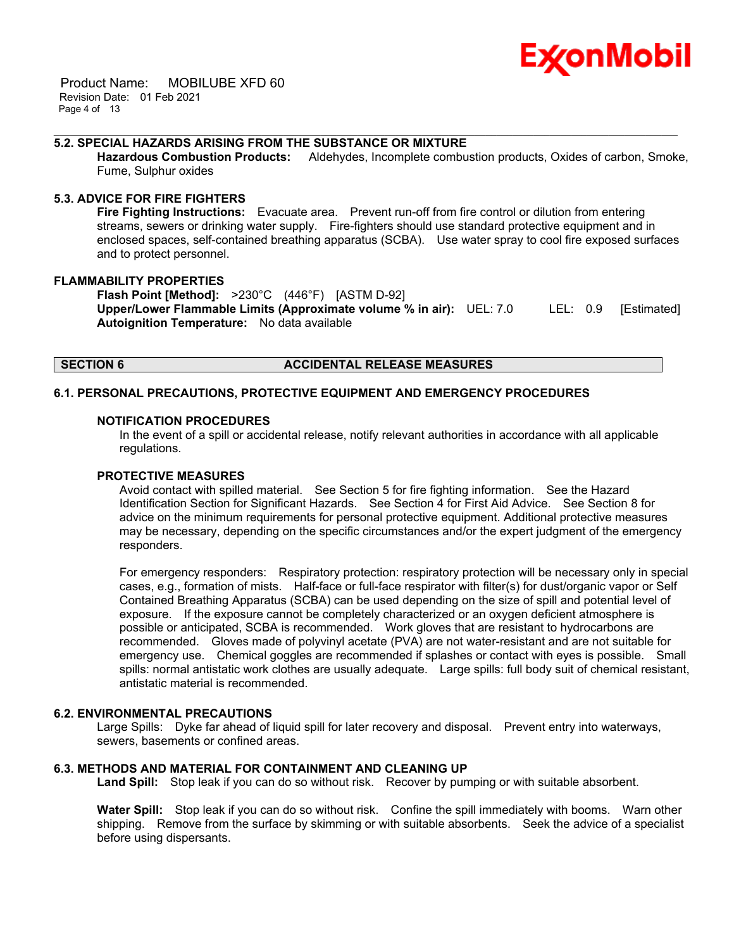

 Product Name: MOBILUBE XFD 60 Revision Date: 01 Feb 2021 Page 4 of 13

#### **5.2. SPECIAL HAZARDS ARISING FROM THE SUBSTANCE OR MIXTURE**

**Hazardous Combustion Products:** Aldehydes, Incomplete combustion products, Oxides of carbon, Smoke, Fume, Sulphur oxides

\_\_\_\_\_\_\_\_\_\_\_\_\_\_\_\_\_\_\_\_\_\_\_\_\_\_\_\_\_\_\_\_\_\_\_\_\_\_\_\_\_\_\_\_\_\_\_\_\_\_\_\_\_\_\_\_\_\_\_\_\_\_\_\_\_\_\_\_\_\_\_\_\_\_\_\_\_\_\_\_\_\_\_\_\_\_\_\_\_\_\_\_\_\_\_\_\_\_\_\_\_\_\_\_\_\_\_\_\_\_\_\_\_\_\_\_\_

#### **5.3. ADVICE FOR FIRE FIGHTERS**

**Fire Fighting Instructions:** Evacuate area. Prevent run-off from fire control or dilution from entering streams, sewers or drinking water supply. Fire-fighters should use standard protective equipment and in enclosed spaces, self-contained breathing apparatus (SCBA). Use water spray to cool fire exposed surfaces and to protect personnel.

#### **FLAMMABILITY PROPERTIES**

**Flash Point [Method]:** >230°C (446°F) [ASTM D-92] **Upper/Lower Flammable Limits (Approximate volume % in air):** UEL: 7.0 LEL: 0.9 [Estimated] **Autoignition Temperature:** No data available

#### **SECTION 6 ACCIDENTAL RELEASE MEASURES**

#### **6.1. PERSONAL PRECAUTIONS, PROTECTIVE EQUIPMENT AND EMERGENCY PROCEDURES**

#### **NOTIFICATION PROCEDURES**

In the event of a spill or accidental release, notify relevant authorities in accordance with all applicable regulations.

#### **PROTECTIVE MEASURES**

Avoid contact with spilled material. See Section 5 for fire fighting information. See the Hazard Identification Section for Significant Hazards. See Section 4 for First Aid Advice. See Section 8 for advice on the minimum requirements for personal protective equipment. Additional protective measures may be necessary, depending on the specific circumstances and/or the expert judgment of the emergency responders.

For emergency responders: Respiratory protection: respiratory protection will be necessary only in special cases, e.g., formation of mists. Half-face or full-face respirator with filter(s) for dust/organic vapor or Self Contained Breathing Apparatus (SCBA) can be used depending on the size of spill and potential level of exposure. If the exposure cannot be completely characterized or an oxygen deficient atmosphere is possible or anticipated, SCBA is recommended. Work gloves that are resistant to hydrocarbons are recommended. Gloves made of polyvinyl acetate (PVA) are not water-resistant and are not suitable for emergency use. Chemical goggles are recommended if splashes or contact with eyes is possible. Small spills: normal antistatic work clothes are usually adequate. Large spills: full body suit of chemical resistant, antistatic material is recommended.

#### **6.2. ENVIRONMENTAL PRECAUTIONS**

Large Spills: Dyke far ahead of liquid spill for later recovery and disposal. Prevent entry into waterways, sewers, basements or confined areas.

#### **6.3. METHODS AND MATERIAL FOR CONTAINMENT AND CLEANING UP**

**Land Spill:** Stop leak if you can do so without risk. Recover by pumping or with suitable absorbent.

**Water Spill:** Stop leak if you can do so without risk. Confine the spill immediately with booms. Warn other shipping. Remove from the surface by skimming or with suitable absorbents. Seek the advice of a specialist before using dispersants.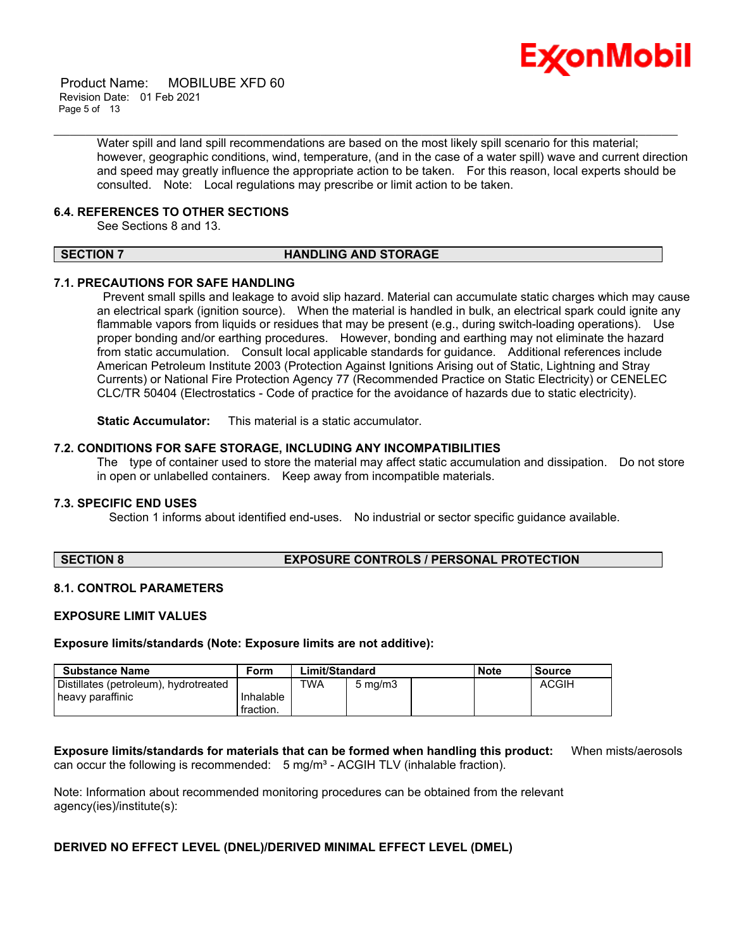

 Product Name: MOBILUBE XFD 60 Revision Date: 01 Feb 2021 Page 5 of 13

> Water spill and land spill recommendations are based on the most likely spill scenario for this material; however, geographic conditions, wind, temperature, (and in the case of a water spill) wave and current direction and speed may greatly influence the appropriate action to be taken. For this reason, local experts should be consulted. Note: Local regulations may prescribe or limit action to be taken.

#### **6.4. REFERENCES TO OTHER SECTIONS**

See Sections 8 and 13.

#### **SECTION 7 HANDLING AND STORAGE**

\_\_\_\_\_\_\_\_\_\_\_\_\_\_\_\_\_\_\_\_\_\_\_\_\_\_\_\_\_\_\_\_\_\_\_\_\_\_\_\_\_\_\_\_\_\_\_\_\_\_\_\_\_\_\_\_\_\_\_\_\_\_\_\_\_\_\_\_\_\_\_\_\_\_\_\_\_\_\_\_\_\_\_\_\_\_\_\_\_\_\_\_\_\_\_\_\_\_\_\_\_\_\_\_\_\_\_\_\_\_\_\_\_\_\_\_\_

#### **7.1. PRECAUTIONS FOR SAFE HANDLING**

 Prevent small spills and leakage to avoid slip hazard. Material can accumulate static charges which may cause an electrical spark (ignition source). When the material is handled in bulk, an electrical spark could ignite any flammable vapors from liquids or residues that may be present (e.g., during switch-loading operations). Use proper bonding and/or earthing procedures. However, bonding and earthing may not eliminate the hazard from static accumulation. Consult local applicable standards for guidance. Additional references include American Petroleum Institute 2003 (Protection Against Ignitions Arising out of Static, Lightning and Stray Currents) or National Fire Protection Agency 77 (Recommended Practice on Static Electricity) or CENELEC CLC/TR 50404 (Electrostatics - Code of practice for the avoidance of hazards due to static electricity).

**Static Accumulator:** This material is a static accumulator.

#### **7.2. CONDITIONS FOR SAFE STORAGE, INCLUDING ANY INCOMPATIBILITIES**

The type of container used to store the material may affect static accumulation and dissipation. Do not store in open or unlabelled containers. Keep away from incompatible materials.

#### **7.3. SPECIFIC END USES**

Section 1 informs about identified end-uses. No industrial or sector specific guidance available.

#### **SECTION 8 EXPOSURE CONTROLS / PERSONAL PROTECTION**

#### **8.1. CONTROL PARAMETERS**

#### **EXPOSURE LIMIT VALUES**

**Exposure limits/standards (Note: Exposure limits are not additive):**

| Substance Name                        | Form      | Limit/Standard |                    | <b>Note</b> | <b>Source</b> |              |
|---------------------------------------|-----------|----------------|--------------------|-------------|---------------|--------------|
| Distillates (petroleum), hydrotreated |           | TWA            | $5 \text{ ma/m}$ 3 |             |               | <b>ACGIH</b> |
| heavy paraffinic                      | Inhalable |                |                    |             |               |              |
|                                       | fraction. |                |                    |             |               |              |

**Exposure limits/standards for materials that can be formed when handling this product:** When mists/aerosols can occur the following is recommended:  $5$  mg/m<sup>3</sup> - ACGIH TLV (inhalable fraction).

Note: Information about recommended monitoring procedures can be obtained from the relevant agency(ies)/institute(s):

#### **DERIVED NO EFFECT LEVEL (DNEL)/DERIVED MINIMAL EFFECT LEVEL (DMEL)**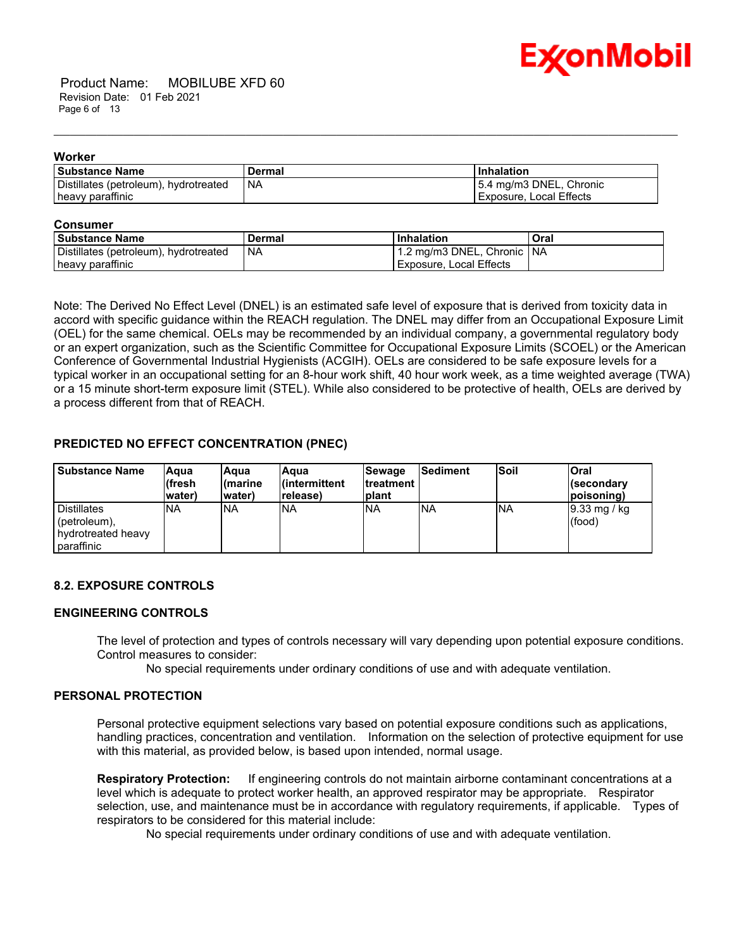

 Product Name: MOBILUBE XFD 60 Revision Date: 01 Feb 2021 Page 6 of 13

#### **Worker**

| <b>Substance Name</b>                 | Dermal | Inhalation              |
|---------------------------------------|--------|-------------------------|
| Distillates (petroleum), hydrotreated | ' NA   | 5.4 mg/m3 DNEL, Chronic |
| heavy paraffinic                      |        | Exposure, Local Effects |

\_\_\_\_\_\_\_\_\_\_\_\_\_\_\_\_\_\_\_\_\_\_\_\_\_\_\_\_\_\_\_\_\_\_\_\_\_\_\_\_\_\_\_\_\_\_\_\_\_\_\_\_\_\_\_\_\_\_\_\_\_\_\_\_\_\_\_\_\_\_\_\_\_\_\_\_\_\_\_\_\_\_\_\_\_\_\_\_\_\_\_\_\_\_\_\_\_\_\_\_\_\_\_\_\_\_\_\_\_\_\_\_\_\_\_\_\_

#### **Consumer**

| -----------                           |        |                            |      |  |
|---------------------------------------|--------|----------------------------|------|--|
| <b>Substance Name</b>                 | Dermal | <b>Inhalation</b>          | Oral |  |
| Distillates (petroleum), hydrotreated | ' NA   | 1.2 mg/m3 DNEL, Chronic NA |      |  |
| heavy paraffinic                      |        | l Exposure. Local Effects  |      |  |

Note: The Derived No Effect Level (DNEL) is an estimated safe level of exposure that is derived from toxicity data in accord with specific guidance within the REACH regulation. The DNEL may differ from an Occupational Exposure Limit (OEL) for the same chemical. OELs may be recommended by an individual company, a governmental regulatory body or an expert organization, such as the Scientific Committee for Occupational Exposure Limits (SCOEL) or the American Conference of Governmental Industrial Hygienists (ACGIH). OELs are considered to be safe exposure levels for a typical worker in an occupational setting for an 8-hour work shift, 40 hour work week, as a time weighted average (TWA) or a 15 minute short-term exposure limit (STEL). While also considered to be protective of health, OELs are derived by a process different from that of REACH.

#### **PREDICTED NO EFFECT CONCENTRATION (PNEC)**

| <b>Substance Name</b>                                                    | lAqua<br>lífresh<br>water) | lAqua<br>l(marine<br>water) | Aqua<br>l(intermittent<br>lrelease) | <b>Sewage</b><br><b>Itreatment</b><br>Iplant | Sediment   | <b>Soil</b> | <b>Oral</b><br>l(secondarv<br>(poisoning) |
|--------------------------------------------------------------------------|----------------------------|-----------------------------|-------------------------------------|----------------------------------------------|------------|-------------|-------------------------------------------|
| <b>Distillates</b><br>(petroleum),<br>l hvdrotreated heavv<br>paraffinic | <b>INA</b>                 | <b>NA</b>                   | <b>NA</b>                           | <b>INA</b>                                   | <b>INA</b> | <b>INA</b>  | $ 9.33 \text{ mg}$ / kg<br>(food)         |

### **8.2. EXPOSURE CONTROLS**

#### **ENGINEERING CONTROLS**

The level of protection and types of controls necessary will vary depending upon potential exposure conditions. Control measures to consider:

No special requirements under ordinary conditions of use and with adequate ventilation.

#### **PERSONAL PROTECTION**

Personal protective equipment selections vary based on potential exposure conditions such as applications, handling practices, concentration and ventilation. Information on the selection of protective equipment for use with this material, as provided below, is based upon intended, normal usage.

**Respiratory Protection:** If engineering controls do not maintain airborne contaminant concentrations at a level which is adequate to protect worker health, an approved respirator may be appropriate. Respirator selection, use, and maintenance must be in accordance with regulatory requirements, if applicable. Types of respirators to be considered for this material include:

No special requirements under ordinary conditions of use and with adequate ventilation.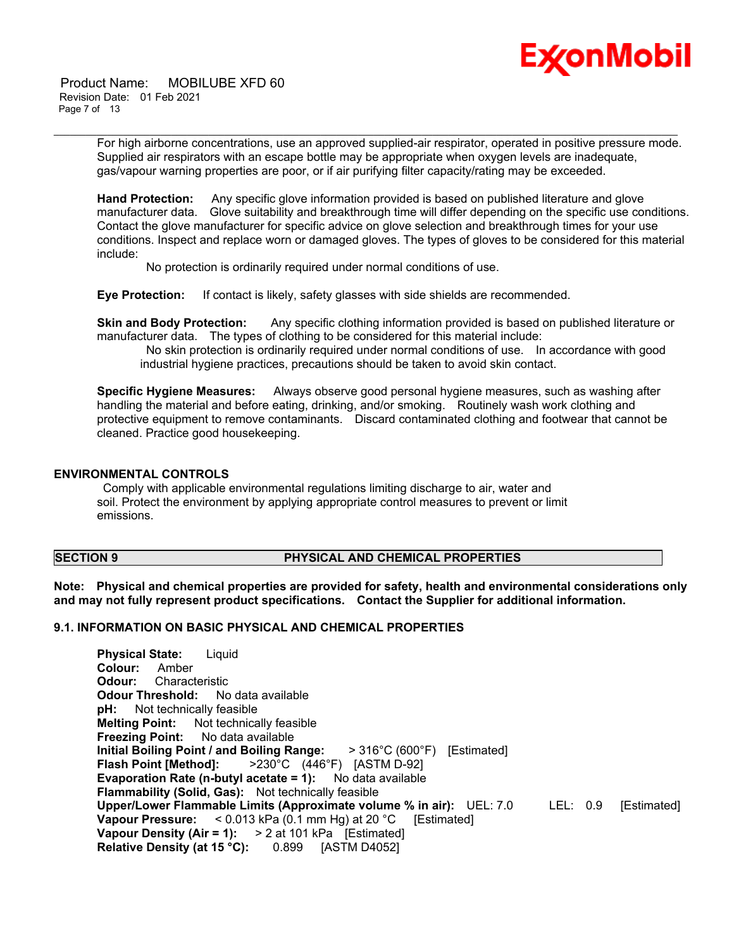

 Product Name: MOBILUBE XFD 60 Revision Date: 01 Feb 2021 Page 7 of 13

> For high airborne concentrations, use an approved supplied-air respirator, operated in positive pressure mode. Supplied air respirators with an escape bottle may be appropriate when oxygen levels are inadequate, gas/vapour warning properties are poor, or if air purifying filter capacity/rating may be exceeded.

\_\_\_\_\_\_\_\_\_\_\_\_\_\_\_\_\_\_\_\_\_\_\_\_\_\_\_\_\_\_\_\_\_\_\_\_\_\_\_\_\_\_\_\_\_\_\_\_\_\_\_\_\_\_\_\_\_\_\_\_\_\_\_\_\_\_\_\_\_\_\_\_\_\_\_\_\_\_\_\_\_\_\_\_\_\_\_\_\_\_\_\_\_\_\_\_\_\_\_\_\_\_\_\_\_\_\_\_\_\_\_\_\_\_\_\_\_

**Hand Protection:** Any specific glove information provided is based on published literature and glove manufacturer data. Glove suitability and breakthrough time will differ depending on the specific use conditions. Contact the glove manufacturer for specific advice on glove selection and breakthrough times for your use conditions. Inspect and replace worn or damaged gloves. The types of gloves to be considered for this material include:

No protection is ordinarily required under normal conditions of use.

**Eye Protection:** If contact is likely, safety glasses with side shields are recommended.

**Skin and Body Protection:** Any specific clothing information provided is based on published literature or manufacturer data. The types of clothing to be considered for this material include:

 No skin protection is ordinarily required under normal conditions of use. In accordance with good industrial hygiene practices, precautions should be taken to avoid skin contact.

**Specific Hygiene Measures:** Always observe good personal hygiene measures, such as washing after handling the material and before eating, drinking, and/or smoking. Routinely wash work clothing and protective equipment to remove contaminants. Discard contaminated clothing and footwear that cannot be cleaned. Practice good housekeeping.

#### **ENVIRONMENTAL CONTROLS**

 Comply with applicable environmental regulations limiting discharge to air, water and soil. Protect the environment by applying appropriate control measures to prevent or limit emissions.

#### **SECTION 9 PHYSICAL AND CHEMICAL PROPERTIES**

**Note: Physical and chemical properties are provided for safety, health and environmental considerations only and may not fully represent product specifications. Contact the Supplier for additional information.**

### **9.1. INFORMATION ON BASIC PHYSICAL AND CHEMICAL PROPERTIES**

**Physical State:** Liquid **Colour:** Amber **Odour:** Characteristic **Odour Threshold:** No data available **pH:** Not technically feasible **Melting Point:** Not technically feasible **Freezing Point:** No data available **Initial Boiling Point / and Boiling Range:** > 316°C (600°F) [Estimated] **Flash Point [Method]:** >230°C (446°F) [ASTM D-92] **Evaporation Rate (n-butyl acetate = 1):** No data available **Flammability (Solid, Gas):** Not technically feasible **Upper/Lower Flammable Limits (Approximate volume % in air):** UEL: 7.0 LEL: 0.9 [Estimated] **Vapour Pressure:** < 0.013 kPa (0.1 mm Hg) at 20 °C [Estimated] **Vapour Density (Air = 1):** > 2 at 101 kPa [Estimated] **Relative Density (at 15 °C):** 0.899 [ASTM D4052]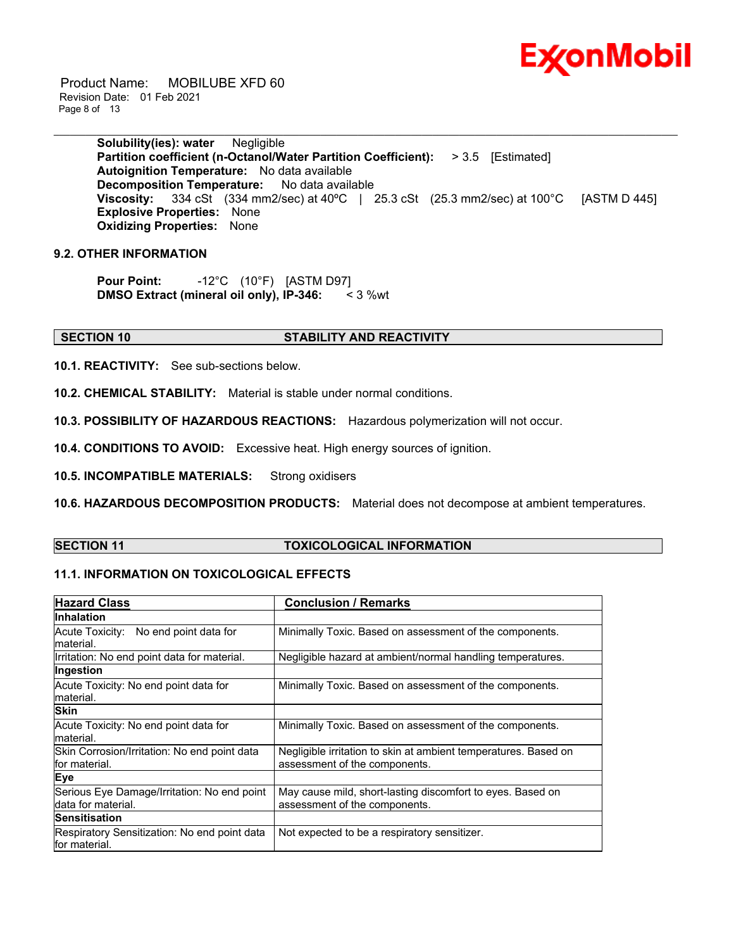

 Product Name: MOBILUBE XFD 60 Revision Date: 01 Feb 2021 Page 8 of 13

> **Solubility(ies): water** Negligible **Partition coefficient (n-Octanol/Water Partition Coefficient):** > 3.5 [Estimated] **Autoignition Temperature:** No data available **Decomposition Temperature:** No data available **Viscosity:** 334 cSt (334 mm2/sec) at 40°C | 25.3 cSt (25.3 mm2/sec) at 100°C [ASTM D 445] **Explosive Properties:** None **Oxidizing Properties:** None

\_\_\_\_\_\_\_\_\_\_\_\_\_\_\_\_\_\_\_\_\_\_\_\_\_\_\_\_\_\_\_\_\_\_\_\_\_\_\_\_\_\_\_\_\_\_\_\_\_\_\_\_\_\_\_\_\_\_\_\_\_\_\_\_\_\_\_\_\_\_\_\_\_\_\_\_\_\_\_\_\_\_\_\_\_\_\_\_\_\_\_\_\_\_\_\_\_\_\_\_\_\_\_\_\_\_\_\_\_\_\_\_\_\_\_\_\_

#### **9.2. OTHER INFORMATION**

**Pour Point:** -12°C (10°F) [ASTM D97] **DMSO Extract (mineral oil only), IP-346:** < 3 %wt

#### **SECTION 10 STABILITY AND REACTIVITY**

**10.1. REACTIVITY:** See sub-sections below.

**10.2. CHEMICAL STABILITY:** Material is stable under normal conditions.

**10.3. POSSIBILITY OF HAZARDOUS REACTIONS:** Hazardous polymerization will not occur.

**10.4. CONDITIONS TO AVOID:** Excessive heat. High energy sources of ignition.

**10.5. INCOMPATIBLE MATERIALS:** Strong oxidisers

**10.6. HAZARDOUS DECOMPOSITION PRODUCTS:** Material does not decompose at ambient temperatures.

#### **SECTION 11 TOXICOLOGICAL INFORMATION**

### **11.1. INFORMATION ON TOXICOLOGICAL EFFECTS**

| <b>Hazard Class</b>                                               | <b>Conclusion / Remarks</b>                                                                      |
|-------------------------------------------------------------------|--------------------------------------------------------------------------------------------------|
| <b>Inhalation</b>                                                 |                                                                                                  |
| Acute Toxicity: No end point data for<br>lmaterial.               | Minimally Toxic. Based on assessment of the components.                                          |
| Irritation: No end point data for material.                       | Negligible hazard at ambient/normal handling temperatures.                                       |
| Ingestion                                                         |                                                                                                  |
| Acute Toxicity: No end point data for<br>material.                | Minimally Toxic. Based on assessment of the components.                                          |
| <b>Skin</b>                                                       |                                                                                                  |
| Acute Toxicity: No end point data for<br>material.                | Minimally Toxic. Based on assessment of the components.                                          |
| Skin Corrosion/Irritation: No end point data<br>for material.     | Negligible irritation to skin at ambient temperatures. Based on<br>assessment of the components. |
| <b>Eye</b>                                                        |                                                                                                  |
| Serious Eye Damage/Irritation: No end point<br>data for material. | May cause mild, short-lasting discomfort to eyes. Based on<br>assessment of the components.      |
| Sensitisation                                                     |                                                                                                  |
| Respiratory Sensitization: No end point data<br>for material.     | Not expected to be a respiratory sensitizer.                                                     |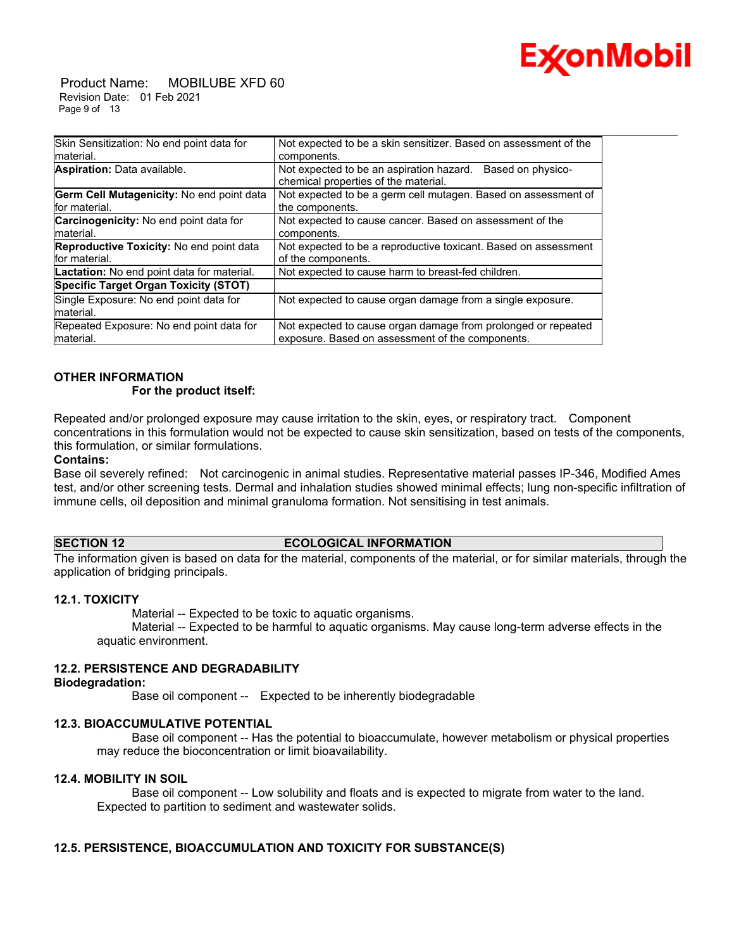

 Product Name: MOBILUBE XFD 60 Revision Date: 01 Feb 2021 Page 9 of 13

| Skin Sensitization: No end point data for                  | Not expected to be a skin sensitizer. Based on assessment of the                                                  |
|------------------------------------------------------------|-------------------------------------------------------------------------------------------------------------------|
| material.                                                  | components.                                                                                                       |
| Aspiration: Data available.                                | Not expected to be an aspiration hazard.<br>Based on physico-<br>chemical properties of the material.             |
| Germ Cell Mutagenicity: No end point data<br>for material. | Not expected to be a germ cell mutagen. Based on assessment of<br>the components.                                 |
| Carcinogenicity: No end point data for<br>material.        | Not expected to cause cancer. Based on assessment of the<br>components.                                           |
| Reproductive Toxicity: No end point data<br>for material.  | Not expected to be a reproductive toxicant. Based on assessment<br>of the components.                             |
| Lactation: No end point data for material.                 | Not expected to cause harm to breast-fed children.                                                                |
| Specific Target Organ Toxicity (STOT)                      |                                                                                                                   |
| Single Exposure: No end point data for<br>material.        | Not expected to cause organ damage from a single exposure.                                                        |
| Repeated Exposure: No end point data for<br>material.      | Not expected to cause organ damage from prolonged or repeated<br>exposure. Based on assessment of the components. |

\_\_\_\_\_\_\_\_\_\_\_\_\_\_\_\_\_\_\_\_\_\_\_\_\_\_\_\_\_\_\_\_\_\_\_\_\_\_\_\_\_\_\_\_\_\_\_\_\_\_\_\_\_\_\_\_\_\_\_\_\_\_\_\_\_\_\_\_\_\_\_\_\_\_\_\_\_\_\_\_\_\_\_\_\_\_\_\_\_\_\_\_\_\_\_\_\_\_\_\_\_\_\_\_\_\_\_\_\_\_\_\_\_\_\_\_\_

### **OTHER INFORMATION**

#### **For the product itself:**

Repeated and/or prolonged exposure may cause irritation to the skin, eyes, or respiratory tract. Component concentrations in this formulation would not be expected to cause skin sensitization, based on tests of the components, this formulation, or similar formulations.

#### **Contains:**

Base oil severely refined: Not carcinogenic in animal studies. Representative material passes IP-346, Modified Ames test, and/or other screening tests. Dermal and inhalation studies showed minimal effects; lung non-specific infiltration of immune cells, oil deposition and minimal granuloma formation. Not sensitising in test animals.

#### **SECTION 12 ECOLOGICAL INFORMATION**

The information given is based on data for the material, components of the material, or for similar materials, through the application of bridging principals.

#### **12.1. TOXICITY**

Material -- Expected to be toxic to aquatic organisms.

 Material -- Expected to be harmful to aquatic organisms. May cause long-term adverse effects in the aquatic environment.

#### **12.2. PERSISTENCE AND DEGRADABILITY**

#### **Biodegradation:**

Base oil component -- Expected to be inherently biodegradable

#### **12.3. BIOACCUMULATIVE POTENTIAL**

 Base oil component -- Has the potential to bioaccumulate, however metabolism or physical properties may reduce the bioconcentration or limit bioavailability.

#### **12.4. MOBILITY IN SOIL**

 Base oil component -- Low solubility and floats and is expected to migrate from water to the land. Expected to partition to sediment and wastewater solids.

### **12.5. PERSISTENCE, BIOACCUMULATION AND TOXICITY FOR SUBSTANCE(S)**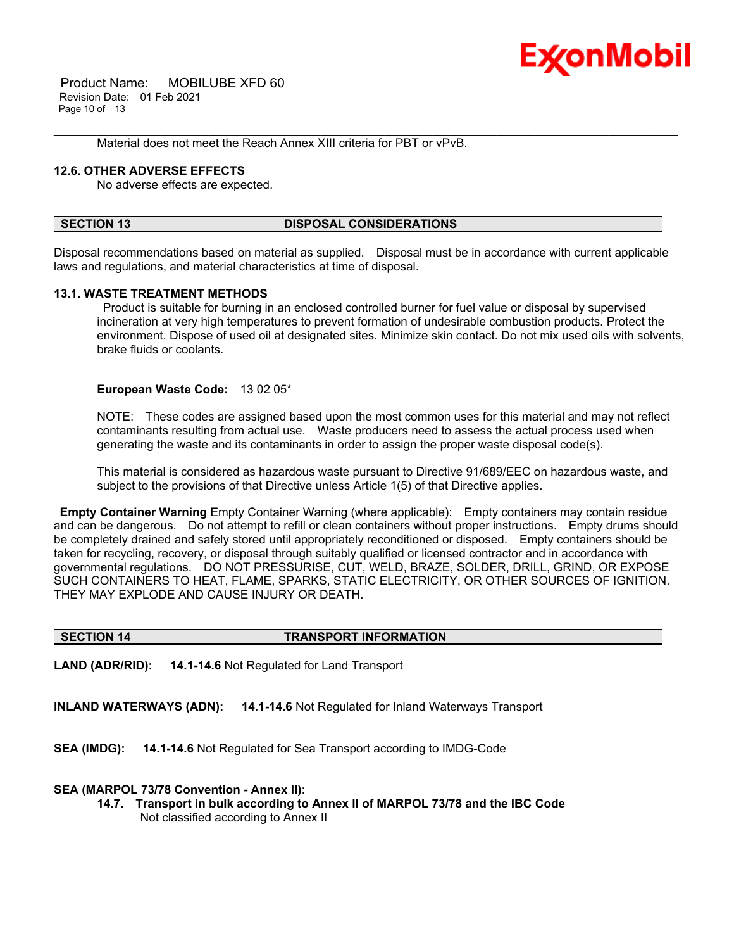

 Product Name: MOBILUBE XFD 60 Revision Date: 01 Feb 2021 Page 10 of 13

Material does not meet the Reach Annex XIII criteria for PBT or vPvB.

#### **12.6. OTHER ADVERSE EFFECTS**

No adverse effects are expected.

#### **SECTION 13 DISPOSAL CONSIDERATIONS**

Disposal recommendations based on material as supplied. Disposal must be in accordance with current applicable laws and regulations, and material characteristics at time of disposal.

\_\_\_\_\_\_\_\_\_\_\_\_\_\_\_\_\_\_\_\_\_\_\_\_\_\_\_\_\_\_\_\_\_\_\_\_\_\_\_\_\_\_\_\_\_\_\_\_\_\_\_\_\_\_\_\_\_\_\_\_\_\_\_\_\_\_\_\_\_\_\_\_\_\_\_\_\_\_\_\_\_\_\_\_\_\_\_\_\_\_\_\_\_\_\_\_\_\_\_\_\_\_\_\_\_\_\_\_\_\_\_\_\_\_\_\_\_

#### **13.1. WASTE TREATMENT METHODS**

 Product is suitable for burning in an enclosed controlled burner for fuel value or disposal by supervised incineration at very high temperatures to prevent formation of undesirable combustion products. Protect the environment. Dispose of used oil at designated sites. Minimize skin contact. Do not mix used oils with solvents, brake fluids or coolants.

#### **European Waste Code:** 13 02 05\*

NOTE: These codes are assigned based upon the most common uses for this material and may not reflect contaminants resulting from actual use. Waste producers need to assess the actual process used when generating the waste and its contaminants in order to assign the proper waste disposal code(s).

This material is considered as hazardous waste pursuant to Directive 91/689/EEC on hazardous waste, and subject to the provisions of that Directive unless Article 1(5) of that Directive applies.

**Empty Container Warning** Empty Container Warning (where applicable): Empty containers may contain residue and can be dangerous. Do not attempt to refill or clean containers without proper instructions. Empty drums should be completely drained and safely stored until appropriately reconditioned or disposed. Empty containers should be taken for recycling, recovery, or disposal through suitably qualified or licensed contractor and in accordance with governmental regulations. DO NOT PRESSURISE, CUT, WELD, BRAZE, SOLDER, DRILL, GRIND, OR EXPOSE SUCH CONTAINERS TO HEAT, FLAME, SPARKS, STATIC ELECTRICITY, OR OTHER SOURCES OF IGNITION. THEY MAY EXPLODE AND CAUSE INJURY OR DEATH.

#### **SECTION 14 TRANSPORT INFORMATION**

**LAND (ADR/RID): 14.1-14.6** Not Regulated for Land Transport

**INLAND WATERWAYS (ADN): 14.1-14.6** Not Regulated for Inland Waterways Transport

**SEA (IMDG): 14.1-14.6** Not Regulated for Sea Transport according to IMDG-Code

#### **SEA (MARPOL 73/78 Convention - Annex II):**

**14.7. Transport in bulk according to Annex II of MARPOL 73/78 and the IBC Code** Not classified according to Annex II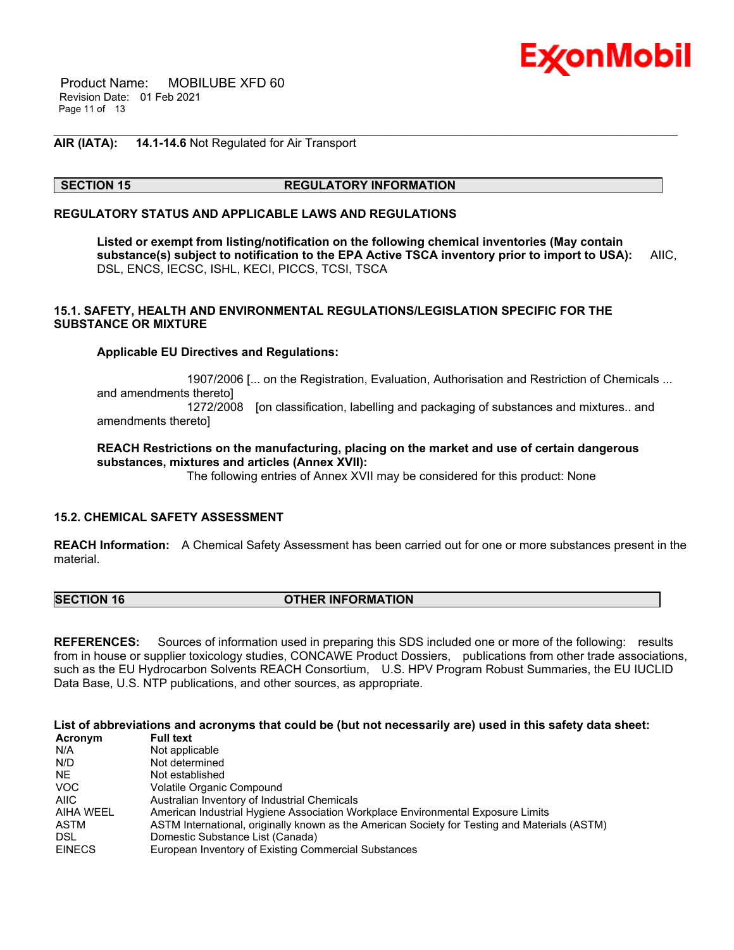

 Product Name: MOBILUBE XFD 60 Revision Date: 01 Feb 2021 Page 11 of 13

#### **AIR (IATA): 14.1-14.6** Not Regulated for Air Transport

#### **SECTION 15 REGULATORY INFORMATION**

#### **REGULATORY STATUS AND APPLICABLE LAWS AND REGULATIONS**

**Listed or exempt from listing/notification on the following chemical inventories (May contain substance(s) subject to notification to the EPA Active TSCA inventory prior to import to USA):** AIIC, DSL, ENCS, IECSC, ISHL, KECI, PICCS, TCSI, TSCA

\_\_\_\_\_\_\_\_\_\_\_\_\_\_\_\_\_\_\_\_\_\_\_\_\_\_\_\_\_\_\_\_\_\_\_\_\_\_\_\_\_\_\_\_\_\_\_\_\_\_\_\_\_\_\_\_\_\_\_\_\_\_\_\_\_\_\_\_\_\_\_\_\_\_\_\_\_\_\_\_\_\_\_\_\_\_\_\_\_\_\_\_\_\_\_\_\_\_\_\_\_\_\_\_\_\_\_\_\_\_\_\_\_\_\_\_\_

#### **15.1. SAFETY, HEALTH AND ENVIRONMENTAL REGULATIONS/LEGISLATION SPECIFIC FOR THE SUBSTANCE OR MIXTURE**

#### **Applicable EU Directives and Regulations:**

 1907/2006 [... on the Registration, Evaluation, Authorisation and Restriction of Chemicals ... and amendments thereto] 1272/2008 [on classification, labelling and packaging of substances and mixtures.. and amendments thereto]

#### **REACH Restrictions on the manufacturing, placing on the market and use of certain dangerous substances, mixtures and articles (Annex XVII):**

The following entries of Annex XVII may be considered for this product: None

#### **15.2. CHEMICAL SAFETY ASSESSMENT**

**REACH Information:** A Chemical Safety Assessment has been carried out for one or more substances present in the material.

#### **SECTION 16 OTHER INFORMATION**

**REFERENCES:** Sources of information used in preparing this SDS included one or more of the following: results from in house or supplier toxicology studies, CONCAWE Product Dossiers, publications from other trade associations, such as the EU Hydrocarbon Solvents REACH Consortium, U.S. HPV Program Robust Summaries, the EU IUCLID Data Base, U.S. NTP publications, and other sources, as appropriate.

**List of abbreviations and acronyms that could be (but not necessarily are) used in this safety data sheet:**

| Acronym       | <b>Full text</b>                                                                              |
|---------------|-----------------------------------------------------------------------------------------------|
| N/A           | Not applicable                                                                                |
| N/D           | Not determined                                                                                |
| NE.           | Not established                                                                               |
| <b>VOC</b>    | Volatile Organic Compound                                                                     |
| AIIC          | Australian Inventory of Industrial Chemicals                                                  |
| AIHA WEEL     | American Industrial Hygiene Association Workplace Environmental Exposure Limits               |
| ASTM          | ASTM International, originally known as the American Society for Testing and Materials (ASTM) |
| <b>DSL</b>    | Domestic Substance List (Canada)                                                              |
| <b>EINECS</b> | European Inventory of Existing Commercial Substances                                          |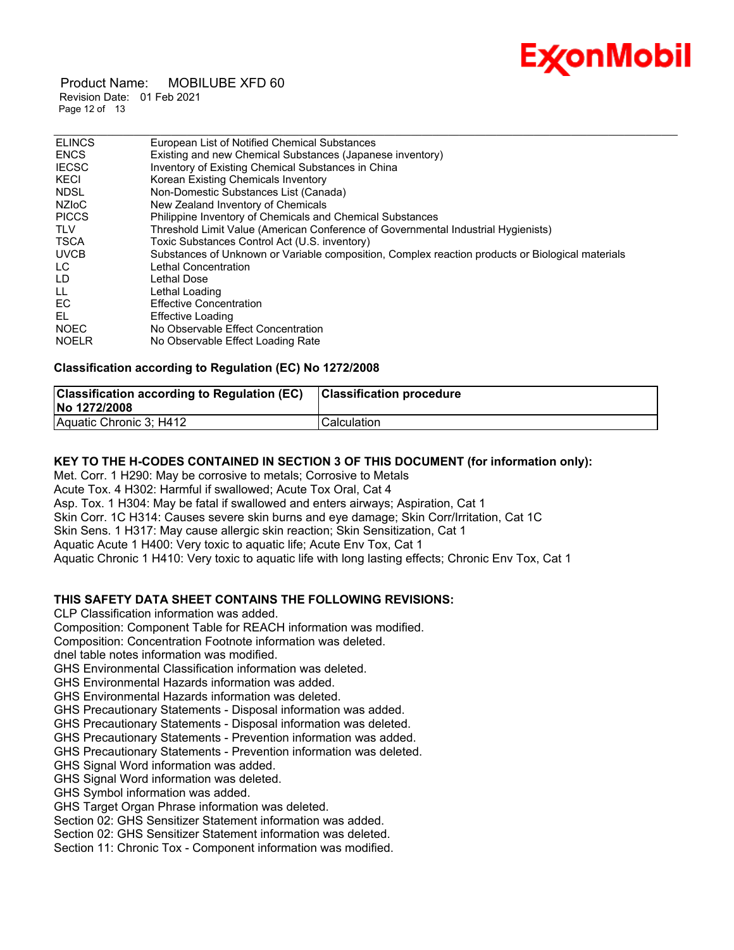# Ex⁄onMobil

 Product Name: MOBILUBE XFD 60 Revision Date: 01 Feb 2021 Page 12 of 13

| <b>ELINCS</b> | European List of Notified Chemical Substances                                                    |
|---------------|--------------------------------------------------------------------------------------------------|
| <b>ENCS</b>   | Existing and new Chemical Substances (Japanese inventory)                                        |
| <b>IECSC</b>  | Inventory of Existing Chemical Substances in China                                               |
| KECI          | Korean Existing Chemicals Inventory                                                              |
| <b>NDSL</b>   | Non-Domestic Substances List (Canada)                                                            |
| NZIoC         | New Zealand Inventory of Chemicals                                                               |
| <b>PICCS</b>  | Philippine Inventory of Chemicals and Chemical Substances                                        |
| <b>TLV</b>    | Threshold Limit Value (American Conference of Governmental Industrial Hygienists)                |
| <b>TSCA</b>   | Toxic Substances Control Act (U.S. inventory)                                                    |
| <b>UVCB</b>   | Substances of Unknown or Variable composition, Complex reaction products or Biological materials |
| LC.           | Lethal Concentration                                                                             |
| LD            | Lethal Dose                                                                                      |
| LL.           | Lethal Loading                                                                                   |
| EC            | <b>Effective Concentration</b>                                                                   |
| EL            | Effective Loading                                                                                |
| <b>NOEC</b>   | No Observable Effect Concentration                                                               |
| <b>NOELR</b>  | No Observable Effect Loading Rate                                                                |

#### **Classification according to Regulation (EC) No 1272/2008**

| <b>Classification according to Regulation (EC)</b><br>No 1272/2008 | <b>Classification procedure</b> |
|--------------------------------------------------------------------|---------------------------------|
| Aquatic Chronic 3; H412                                            | Calculation                     |

#### **KEY TO THE H-CODES CONTAINED IN SECTION 3 OF THIS DOCUMENT (for information only):**

Met. Corr. 1 H290: May be corrosive to metals; Corrosive to Metals Acute Tox. 4 H302: Harmful if swallowed; Acute Tox Oral, Cat 4 Asp. Tox. 1 H304: May be fatal if swallowed and enters airways; Aspiration, Cat 1 Skin Corr. 1C H314: Causes severe skin burns and eye damage; Skin Corr/Irritation, Cat 1C Skin Sens. 1 H317: May cause allergic skin reaction; Skin Sensitization, Cat 1 Aquatic Acute 1 H400: Very toxic to aquatic life; Acute Env Tox, Cat 1 Aquatic Chronic 1 H410: Very toxic to aquatic life with long lasting effects; Chronic Env Tox, Cat 1

### **THIS SAFETY DATA SHEET CONTAINS THE FOLLOWING REVISIONS:**

CLP Classification information was added.

Composition: Component Table for REACH information was modified.

Composition: Concentration Footnote information was deleted.

dnel table notes information was modified.

GHS Environmental Classification information was deleted.

GHS Environmental Hazards information was added.

GHS Environmental Hazards information was deleted.

GHS Precautionary Statements - Disposal information was added.

GHS Precautionary Statements - Disposal information was deleted.

GHS Precautionary Statements - Prevention information was added.

GHS Precautionary Statements - Prevention information was deleted.

GHS Signal Word information was added.

GHS Signal Word information was deleted.

GHS Symbol information was added.

GHS Target Organ Phrase information was deleted.

Section 02: GHS Sensitizer Statement information was added.

Section 02: GHS Sensitizer Statement information was deleted.

Section 11: Chronic Tox - Component information was modified.